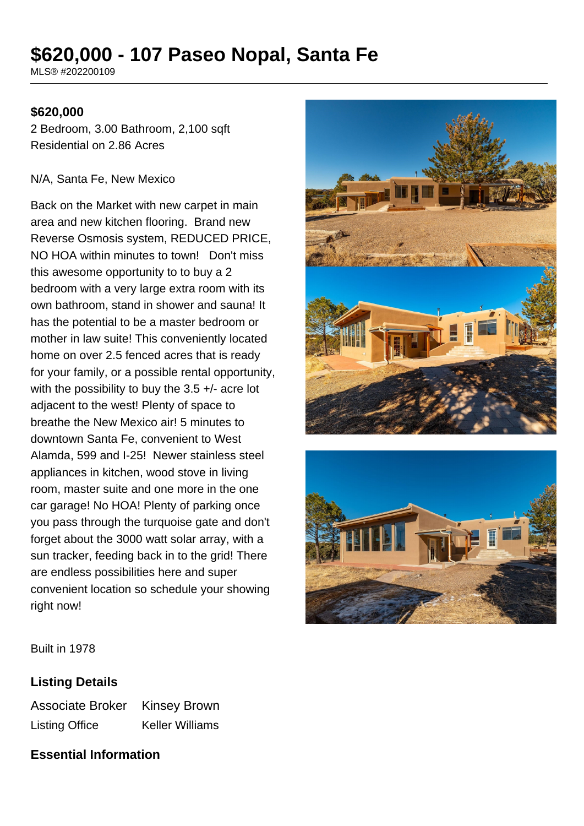# **\$620,000 - 107 Paseo Nopal, Santa Fe**

MLS® #202200109

### **\$620,000**

2 Bedroom, 3.00 Bathroom, 2,100 sqft Residential on 2.86 Acres

#### N/A, Santa Fe, New Mexico

Back on the Market with new carpet in main area and new kitchen flooring. Brand new Reverse Osmosis system, REDUCED PRICE, NO HOA within minutes to town! Don't miss this awesome opportunity to to buy a 2 bedroom with a very large extra room with its own bathroom, stand in shower and sauna! It has the potential to be a master bedroom or mother in law suite! This conveniently located home on over 2.5 fenced acres that is ready for your family, or a possible rental opportunity, with the possibility to buy the 3.5 +/- acre lot adjacent to the west! Plenty of space to breathe the New Mexico air! 5 minutes to downtown Santa Fe, convenient to West Alamda, 599 and I-25! Newer stainless steel appliances in kitchen, wood stove in living room, master suite and one more in the one car garage! No HOA! Plenty of parking once you pass through the turquoise gate and don't forget about the 3000 watt solar array, with a sun tracker, feeding back in to the grid! There are endless possibilities here and super convenient location so schedule your showing right now!





Built in 1978

#### **Listing Details**

Associate Broker Kinsey Brown Listing Office Keller Williams

### **Essential Information**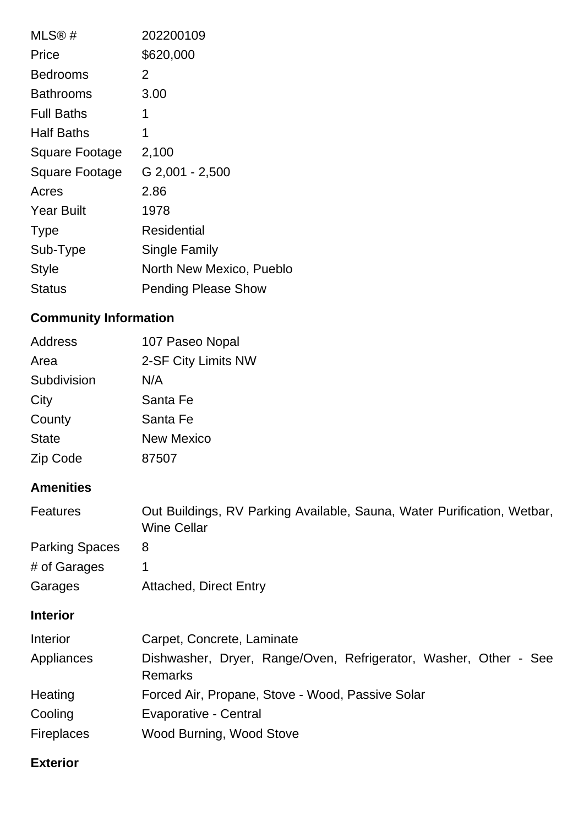| MLS®#             | 202200109                  |
|-------------------|----------------------------|
| Price             | \$620,000                  |
| <b>Bedrooms</b>   | 2                          |
| Bathrooms         | 3.00                       |
| <b>Full Baths</b> | 1                          |
| <b>Half Baths</b> | 1                          |
| Square Footage    | 2,100                      |
| Square Footage    | G 2,001 - 2,500            |
| Acres             | 2.86                       |
| <b>Year Built</b> | 1978                       |
| <b>Type</b>       | Residential                |
| Sub-Type          | Single Family              |
| <b>Style</b>      | North New Mexico, Pueblo   |
| Status            | <b>Pending Please Show</b> |

# **Community Information**

| Address      | 107 Paseo Nopal     |
|--------------|---------------------|
| Area         | 2-SF City Limits NW |
| Subdivision  | N/A                 |
| City         | Santa Fe            |
| County       | Santa Fe            |
| <b>State</b> | <b>New Mexico</b>   |
| Zip Code     | 87507               |

# **Amenities**

| <b>Features</b>       | Out Buildings, RV Parking Available, Sauna, Water Purification, Wetbar,<br><b>Wine Cellar</b> |  |
|-----------------------|-----------------------------------------------------------------------------------------------|--|
| <b>Parking Spaces</b> | 8                                                                                             |  |
| # of Garages          | $\mathbf 1$                                                                                   |  |
| Garages               | <b>Attached, Direct Entry</b>                                                                 |  |
| <b>Interior</b>       |                                                                                               |  |
| <b>Interior</b>       | Carpet, Concrete, Laminate                                                                    |  |
| Appliances            | Dishwasher, Dryer, Range/Oven, Refrigerator, Washer, Other - See<br><b>Remarks</b>            |  |
| Heating               | Forced Air, Propane, Stove - Wood, Passive Solar                                              |  |
| Cooling               | Evaporative - Central                                                                         |  |
| <b>Fireplaces</b>     | Wood Burning, Wood Stove                                                                      |  |

## **Exterior**